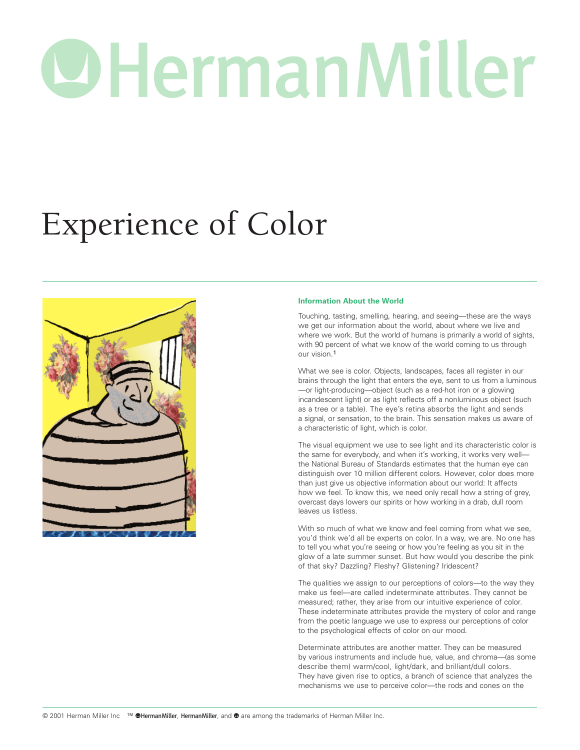# OHermanMiller

# Experience of Color



# **Information About the World**

Touching, tasting, smelling, hearing, and seeing—these are the ways we get our information about the world, about where we live and where we work. But the world of humans is primarily a world of sights, with 90 percent of what we know of the world coming to us through our vision.1

What we see is color. Objects, landscapes, faces all register in our brains through the light that enters the eye, sent to us from a luminous —or light-producing—object (such as a red-hot iron or a glowing incandescent light) or as light reflects off a nonluminous object (such as a tree or a table). The eye's retina absorbs the light and sends a signal, or sensation, to the brain. This sensation makes us aware of a characteristic of light, which is color.

The visual equipment we use to see light and its characteristic color is the same for everybody, and when it's working, it works very well the National Bureau of Standards estimates that the human eye can distinguish over 10 million different colors. However, color does more than just give us objective information about our world: It affects how we feel. To know this, we need only recall how a string of grey, overcast days lowers our spirits or how working in a drab, dull room leaves us listless.

With so much of what we know and feel coming from what we see, you'd think we'd all be experts on color. In a way, we are. No one has to tell you what you're seeing or how you're feeling as you sit in the glow of a late summer sunset. But how would you describe the pink of that sky? Dazzling? Fleshy? Glistening? Iridescent?

The qualities we assign to our perceptions of colors—to the way they make us feel—are called indeterminate attributes. They cannot be measured; rather, they arise from our intuitive experience of color. These indeterminate attributes provide the mystery of color and range from the poetic language we use to express our perceptions of color to the psychological effects of color on our mood.

Determinate attributes are another matter. They can be measured by various instruments and include hue, value, and chroma—(as some describe them) warm/cool, light/dark, and brilliant/dull colors. They have given rise to optics, a branch of science that analyzes the mechanisms we use to perceive color—the rods and cones on the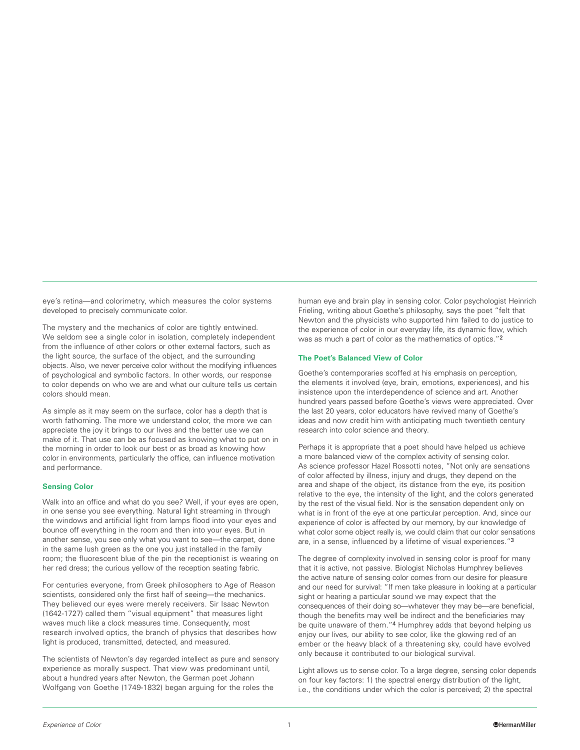eye's retina—and colorimetry, which measures the color systems developed to precisely communicate color.

The mystery and the mechanics of color are tightly entwined. We seldom see a single color in isolation, completely independent from the influence of other colors or other external factors, such as the light source, the surface of the object, and the surrounding objects. Also, we never perceive color without the modifying influences of psychological and symbolic factors. In other words, our response to color depends on who we are and what our culture tells us certain colors should mean.

As simple as it may seem on the surface, color has a depth that is worth fathoming. The more we understand color, the more we can appreciate the joy it brings to our lives and the better use we can make of it. That use can be as focused as knowing what to put on in the morning in order to look our best or as broad as knowing how color in environments, particularly the office, can influence motivation and performance.

# **Sensing Color**

Walk into an office and what do you see? Well, if your eyes are open, in one sense you see everything. Natural light streaming in through the windows and artificial light from lamps flood into your eyes and bounce off everything in the room and then into your eyes. But in another sense, you see only what you want to see—the carpet, done in the same lush green as the one you just installed in the family room; the fluorescent blue of the pin the receptionist is wearing on her red dress; the curious yellow of the reception seating fabric.

For centuries everyone, from Greek philosophers to Age of Reason scientists, considered only the first half of seeing—the mechanics. They believed our eyes were merely receivers. Sir Isaac Newton (1642-1727) called them "visual equipment" that measures light waves much like a clock measures time. Consequently, most research involved optics, the branch of physics that describes how light is produced, transmitted, detected, and measured.

The scientists of Newton's day regarded intellect as pure and sensory experience as morally suspect. That view was predominant until, about a hundred years after Newton, the German poet Johann Wolfgang von Goethe (1749-1832) began arguing for the roles the

human eye and brain play in sensing color. Color psychologist Heinrich Frieling, writing about Goethe's philosophy, says the poet "felt that Newton and the physicists who supported him failed to do justice to the experience of color in our everyday life, its dynamic flow, which was as much a part of color as the mathematics of optics."2

# **The Poet's Balanced View of Color**

Goethe's contemporaries scoffed at his emphasis on perception, the elements it involved (eye, brain, emotions, experiences), and his insistence upon the interdependence of science and art. Another hundred years passed before Goethe's views were appreciated. Over the last 20 years, color educators have revived many of Goethe's ideas and now credit him with anticipating much twentieth century research into color science and theory.

Perhaps it is appropriate that a poet should have helped us achieve a more balanced view of the complex activity of sensing color. As science professor Hazel Rossotti notes, "Not only are sensations of color affected by illness, injury and drugs, they depend on the area and shape of the object, its distance from the eye, its position relative to the eye, the intensity of the light, and the colors generated by the rest of the visual field. Nor is the sensation dependent only on what is in front of the eye at one particular perception. And, since our experience of color is affected by our memory, by our knowledge of what color some object really is, we could claim that our color sensations are, in a sense, influenced by a lifetime of visual experiences."3

The degree of complexity involved in sensing color is proof for many that it is active, not passive. Biologist Nicholas Humphrey believes the active nature of sensing color comes from our desire for pleasure and our need for survival: "If men take pleasure in looking at a particular sight or hearing a particular sound we may expect that the consequences of their doing so—whatever they may be—are beneficial, though the benefits may well be indirect and the beneficiaries may be quite unaware of them."4 Humphrey adds that beyond helping us enjoy our lives, our ability to see color, like the glowing red of an ember or the heavy black of a threatening sky, could have evolved only because it contributed to our biological survival.

Light allows us to sense color. To a large degree, sensing color depends on four key factors: 1) the spectral energy distribution of the light, i.e., the conditions under which the color is perceived; 2) the spectral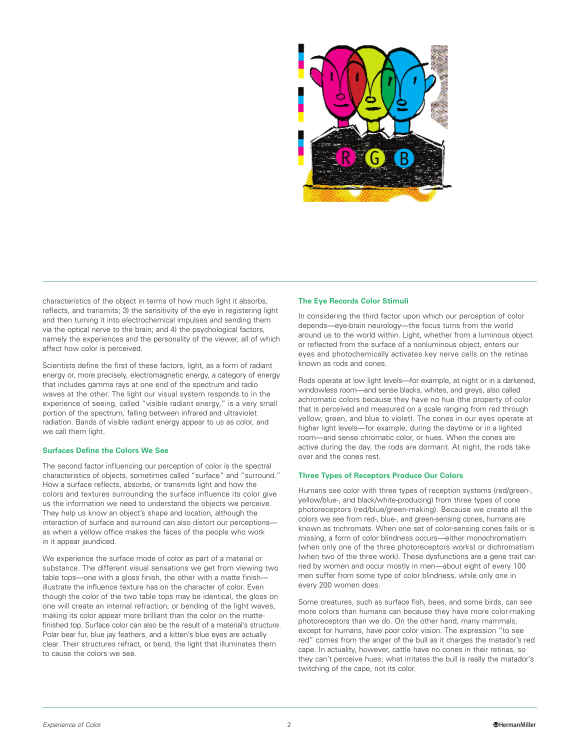

characteristics of the object in terms of how much light it absorbs, reflects, and transmits; 3) the sensitivity of the eye in registering light and then turning it into electrochemical impulses and sending them via the optical nerve to the brain; and 4) the psychological factors, namely the experiences and the personality of the viewer, all of which affect how color is perceived.

Scientists define the first of these factors, light, as a form of radiant energy or, more precisely, electromagnetic energy, a category of energy that includes gamma rays at one end of the spectrum and radio waves at the other. The light our visual system responds to in the experience of seeing, called "visible radiant energy," is a very small portion of the spectrum, falling between infrared and ultraviolet radiation. Bands of visible radiant energy appear to us as color, and we call them light.

# **Surfaces Define the Colors We See**

The second factor influencing our perception of color is the spectral characteristics of objects, sometimes called "surface" and "surround." How a surface reflects, absorbs, or transmits light and how the colors and textures surrounding the surface influence its color give us the information we need to understand the objects we perceive. They help us know an object's shape and location, although the interaction of surface and surround can also distort our perceptions as when a yellow office makes the faces of the people who work in it appear jaundiced.

We experience the surface mode of color as part of a material or substance. The different visual sensations we get from viewing two table tops—one with a gloss finish, the other with a matte finish illustrate the influence texture has on the character of color. Even though the color of the two table tops may be identical, the gloss on one will create an internal refraction, or bending of the light waves, making its color appear more brilliant than the color on the mattefinished top. Surface color can also be the result of a material's structure. Polar bear fur, blue jay feathers, and a kitten's blue eyes are actually clear. Their structures refract, or bend, the light that illuminates them to cause the colors we see.

#### **The Eye Records Color Stimuli**

In considering the third factor upon which our perception of color depends—eye-brain neurology—the focus turns from the world around us to the world within. Light, whether from a luminous object or reflected from the surface of a nonluminous object, enters our eyes and photochemically activates key nerve cells on the retinas known as rods and cones.

Rods operate at low light levels—for example, at night or in a darkened, windowless room—and sense blacks, whites, and greys, also called achromatic colors because they have no hue (the property of color that is perceived and measured on a scale ranging from red through yellow, green, and blue to violet). The cones in our eyes operate at higher light levels—for example, during the daytime or in a lighted room—and sense chromatic color, or hues. When the cones are active during the day, the rods are dormant. At night, the rods take over and the cones rest.

# **Three Types of Receptors Produce Our Colors**

Humans see color with three types of reception systems (red/green-, yellow/blue-, and black/white-producing) from three types of cone photoreceptors (red/blue/green-making). Because we create all the colors we see from red-, blue-, and green-sensing cones, humans are known as trichromats. When one set of color-sensing cones fails or is missing, a form of color blindness occurs—either monochromatism (when only one of the three photoreceptors works) or dichromatism (when two of the three work). These dysfunctions are a gene trait carried by women and occur mostly in men—about eight of every 100 men suffer from some type of color blindness, while only one in every 200 women does.

Some creatures, such as surface fish, bees, and some birds, can see more colors than humans can because they have more color-making photoreceptors than we do. On the other hand, many mammals, except for humans, have poor color vision. The expression "to see red" comes from the anger of the bull as it charges the matador's red cape. In actuality, however, cattle have no cones in their retinas, so they can't perceive hues; what irritates the bull is really the matador's twitching of the cape, not its color.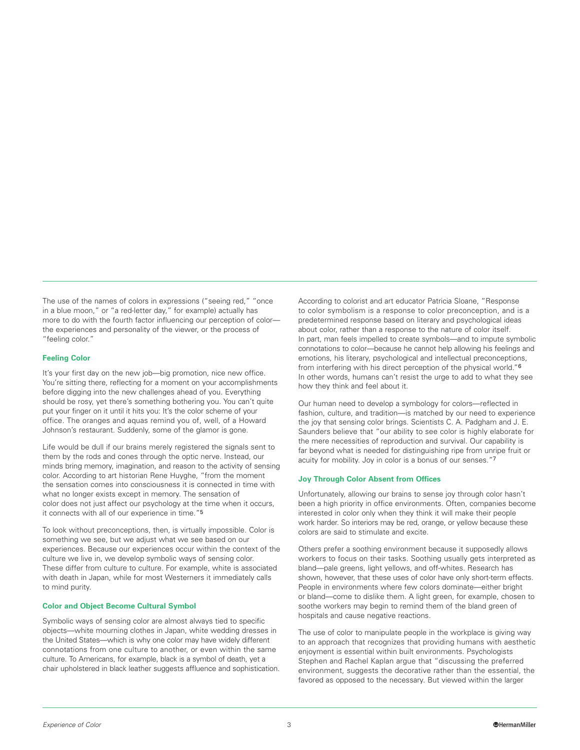The use of the names of colors in expressions ("seeing red," "once in a blue moon," or "a red-letter day," for example) actually has more to do with the fourth factor influencing our perception of color the experiences and personality of the viewer, or the process of "feeling color."

# **Feeling Color**

It's your first day on the new job—big promotion, nice new office. You're sitting there, reflecting for a moment on your accomplishments before digging into the new challenges ahead of you. Everything should be rosy, yet there's something bothering you. You can't quite put your finger on it until it hits you: It's the color scheme of your office. The oranges and aquas remind you of, well, of a Howard Johnson's restaurant. Suddenly, some of the glamor is gone.

Life would be dull if our brains merely registered the signals sent to them by the rods and cones through the optic nerve. Instead, our minds bring memory, imagination, and reason to the activity of sensing color. According to art historian Rene Huyghe, "from the moment the sensation comes into consciousness it is connected in time with what no longer exists except in memory. The sensation of color does not just affect our psychology at the time when it occurs, it connects with all of our experience in time."5

To look without preconceptions, then, is virtually impossible. Color is something we see, but we adjust what we see based on our experiences. Because our experiences occur within the context of the culture we live in, we develop symbolic ways of sensing color. These differ from culture to culture. For example, white is associated with death in Japan, while for most Westerners it immediately calls to mind purity.

# **Color and Object Become Cultural Symbol**

Symbolic ways of sensing color are almost always tied to specific objects—white mourning clothes in Japan, white wedding dresses in the United States—which is why one color may have widely different connotations from one culture to another, or even within the same culture. To Americans, for example, black is a symbol of death, yet a chair upholstered in black leather suggests affluence and sophistication. According to colorist and art educator Patricia Sloane, "Response to color symbolism is a response to color preconception, and is a predetermined response based on literary and psychological ideas about color, rather than a response to the nature of color itself. In part, man feels impelled to create symbols—and to impute symbolic connotations to color—because he cannot help allowing his feelings and emotions, his literary, psychological and intellectual preconceptions, from interfering with his direct perception of the physical world."6 In other words, humans can't resist the urge to add to what they see how they think and feel about it.

Our human need to develop a symbology for colors—reflected in fashion, culture, and tradition—is matched by our need to experience the joy that sensing color brings. Scientists C. A. Padgham and J. E. Saunders believe that "our ability to see color is highly elaborate for the mere necessities of reproduction and survival. Our capability is far beyond what is needed for distinguishing ripe from unripe fruit or acuity for mobility. Joy in color is a bonus of our senses."7

# **Joy Through Color Absent from Offices**

Unfortunately, allowing our brains to sense joy through color hasn't been a high priority in office environments. Often, companies become interested in color only when they think it will make their people work harder. So interiors may be red, orange, or yellow because these colors are said to stimulate and excite.

Others prefer a soothing environment because it supposedly allows workers to focus on their tasks. Soothing usually gets interpreted as bland—pale greens, light yellows, and off-whites. Research has shown, however, that these uses of color have only short-term effects. People in environments where few colors dominate—either bright or bland—come to dislike them. A light green, for example, chosen to soothe workers may begin to remind them of the bland green of hospitals and cause negative reactions.

The use of color to manipulate people in the workplace is giving way to an approach that recognizes that providing humans with aesthetic enjoyment is essential within built environments. Psychologists Stephen and Rachel Kaplan argue that "discussing the preferred environment, suggests the decorative rather than the essential, the favored as opposed to the necessary. But viewed within the larger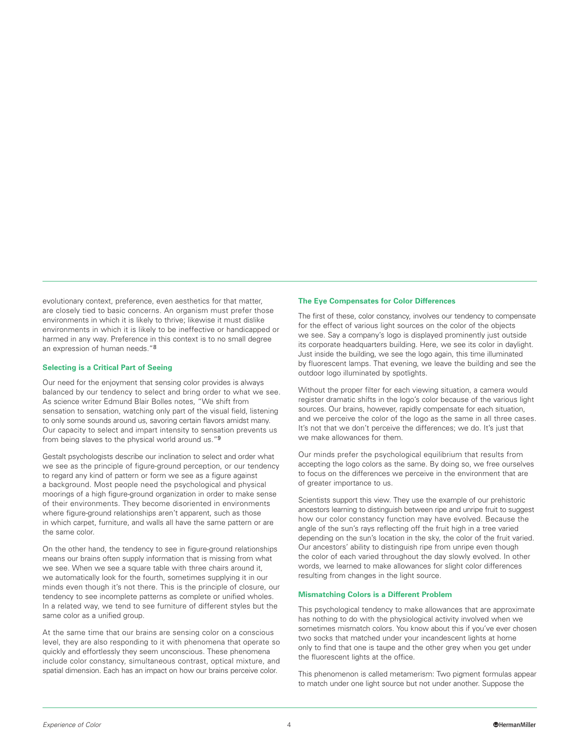evolutionary context, preference, even aesthetics for that matter, are closely tied to basic concerns. An organism must prefer those environments in which it is likely to thrive; likewise it must dislike environments in which it is likely to be ineffective or handicapped or harmed in any way. Preference in this context is to no small degree an expression of human needs."8

# **Selecting is a Critical Part of Seeing**

Our need for the enjoyment that sensing color provides is always balanced by our tendency to select and bring order to what we see. As science writer Edmund Blair Bolles notes, "We shift from sensation to sensation, watching only part of the visual field, listening to only some sounds around us, savoring certain flavors amidst many. Our capacity to select and impart intensity to sensation prevents us from being slaves to the physical world around us."9

Gestalt psychologists describe our inclination to select and order what we see as the principle of figure-ground perception, or our tendency to regard any kind of pattern or form we see as a figure against a background. Most people need the psychological and physical moorings of a high figure-ground organization in order to make sense of their environments. They become disoriented in environments where figure-ground relationships aren't apparent, such as those in which carpet, furniture, and walls all have the same pattern or are the same color.

On the other hand, the tendency to see in figure-ground relationships means our brains often supply information that is missing from what we see. When we see a square table with three chairs around it, we automatically look for the fourth, sometimes supplying it in our minds even though it's not there. This is the principle of closure, our tendency to see incomplete patterns as complete or unified wholes. In a related way, we tend to see furniture of different styles but the same color as a unified group.

At the same time that our brains are sensing color on a conscious level, they are also responding to it with phenomena that operate so quickly and effortlessly they seem unconscious. These phenomena include color constancy, simultaneous contrast, optical mixture, and spatial dimension. Each has an impact on how our brains perceive color.

#### **The Eye Compensates for Color Differences**

The first of these, color constancy, involves our tendency to compensate for the effect of various light sources on the color of the objects we see. Say a company's logo is displayed prominently just outside its corporate headquarters building. Here, we see its color in daylight. Just inside the building, we see the logo again, this time illuminated by fluorescent lamps. That evening, we leave the building and see the outdoor logo illuminated by spotlights.

Without the proper filter for each viewing situation, a camera would register dramatic shifts in the logo's color because of the various light sources. Our brains, however, rapidly compensate for each situation, and we perceive the color of the logo as the same in all three cases. It's not that we don't perceive the differences; we do. It's just that we make allowances for them.

Our minds prefer the psychological equilibrium that results from accepting the logo colors as the same. By doing so, we free ourselves to focus on the differences we perceive in the environment that are of greater importance to us.

Scientists support this view. They use the example of our prehistoric ancestors learning to distinguish between ripe and unripe fruit to suggest how our color constancy function may have evolved. Because the angle of the sun's rays reflecting off the fruit high in a tree varied depending on the sun's location in the sky, the color of the fruit varied. Our ancestors' ability to distinguish ripe from unripe even though the color of each varied throughout the day slowly evolved. In other words, we learned to make allowances for slight color differences resulting from changes in the light source.

#### **Mismatching Colors is a Different Problem**

This psychological tendency to make allowances that are approximate has nothing to do with the physiological activity involved when we sometimes mismatch colors. You know about this if you've ever chosen two socks that matched under your incandescent lights at home only to find that one is taupe and the other grey when you get under the fluorescent lights at the office.

This phenomenon is called metamerism: Two pigment formulas appear to match under one light source but not under another. Suppose the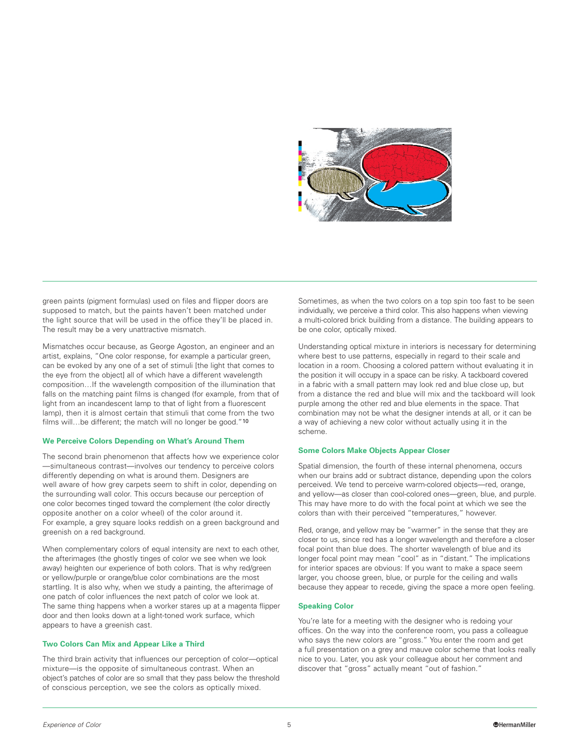

green paints (pigment formulas) used on files and flipper doors are supposed to match, but the paints haven't been matched under the light source that will be used in the office they'll be placed in. The result may be a very unattractive mismatch.

Mismatches occur because, as George Agoston, an engineer and an artist, explains, "One color response, for example a particular green, can be evoked by any one of a set of stimuli [the light that comes to the eye from the object] all of which have a different wavelength composition…If the wavelength composition of the illumination that falls on the matching paint films is changed (for example, from that of light from an incandescent lamp to that of light from a fluorescent lamp), then it is almost certain that stimuli that come from the two films will...be different; the match will no longer be good."10

# **We Perceive Colors Depending on What's Around Them**

The second brain phenomenon that affects how we experience color —simultaneous contrast—involves our tendency to perceive colors differently depending on what is around them. Designers are well aware of how grey carpets seem to shift in color, depending on the surrounding wall color. This occurs because our perception of one color becomes tinged toward the complement (the color directly opposite another on a color wheel) of the color around it. For example, a grey square looks reddish on a green background and greenish on a red background.

When complementary colors of equal intensity are next to each other, the afterimages (the ghostly tinges of color we see when we look away) heighten our experience of both colors. That is why red/green or yellow/purple or orange/blue color combinations are the most startling. It is also why, when we study a painting, the afterimage of one patch of color influences the next patch of color we look at. The same thing happens when a worker stares up at a magenta flipper door and then looks down at a light-toned work surface, which appears to have a greenish cast.

## **Two Colors Can Mix and Appear Like a Third**

The third brain activity that influences our perception of color—optical mixture—is the opposite of simultaneous contrast. When an object's patches of color are so small that they pass below the threshold of conscious perception, we see the colors as optically mixed.

Sometimes, as when the two colors on a top spin too fast to be seen individually, we perceive a third color. This also happens when viewing a multi-colored brick building from a distance. The building appears to be one color, optically mixed.

Understanding optical mixture in interiors is necessary for determining where best to use patterns, especially in regard to their scale and location in a room. Choosing a colored pattern without evaluating it in the position it will occupy in a space can be risky. A tackboard covered in a fabric with a small pattern may look red and blue close up, but from a distance the red and blue will mix and the tackboard will look purple among the other red and blue elements in the space. That combination may not be what the designer intends at all, or it can be a way of achieving a new color without actually using it in the scheme.

#### **Some Colors Make Objects Appear Closer**

Spatial dimension, the fourth of these internal phenomena, occurs when our brains add or subtract distance, depending upon the colors perceived. We tend to perceive warm-colored objects—red, orange, and yellow—as closer than cool-colored ones—green, blue, and purple. This may have more to do with the focal point at which we see the colors than with their perceived "temperatures," however.

Red, orange, and yellow may be "warmer" in the sense that they are closer to us, since red has a longer wavelength and therefore a closer focal point than blue does. The shorter wavelength of blue and its longer focal point may mean "cool" as in "distant." The implications for interior spaces are obvious: If you want to make a space seem larger, you choose green, blue, or purple for the ceiling and walls because they appear to recede, giving the space a more open feeling.

#### **Speaking Color**

You're late for a meeting with the designer who is redoing your offices. On the way into the conference room, you pass a colleague who says the new colors are "gross." You enter the room and get a full presentation on a grey and mauve color scheme that looks really nice to you. Later, you ask your colleague about her comment and discover that "gross" actually meant "out of fashion."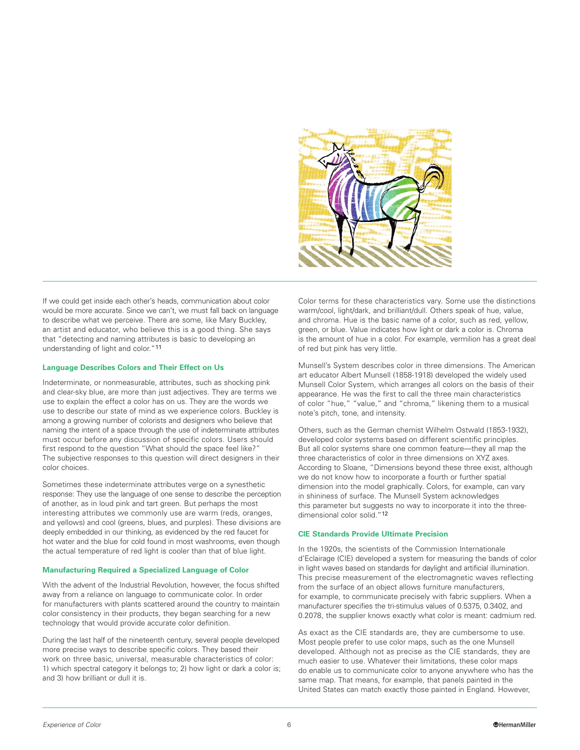

If we could get inside each other's heads, communication about color would be more accurate. Since we can't, we must fall back on language to describe what we perceive. There are some, like Mary Buckley, an artist and educator, who believe this is a good thing. She says that "detecting and naming attributes is basic to developing an understanding of light and color."11

#### **Language Describes Colors and Their Effect on Us**

Indeterminate, or nonmeasurable, attributes, such as shocking pink and clear-sky blue, are more than just adjectives. They are terms we use to explain the effect a color has on us. They are the words we use to describe our state of mind as we experience colors. Buckley is among a growing number of colorists and designers who believe that naming the intent of a space through the use of indeterminate attributes must occur before any discussion of specific colors. Users should first respond to the question "What should the space feel like?" The subjective responses to this question will direct designers in their color choices.

Sometimes these indeterminate attributes verge on a synesthetic response: They use the language of one sense to describe the perception of another, as in loud pink and tart green. But perhaps the most interesting attributes we commonly use are warm (reds, oranges, and yellows) and cool (greens, blues, and purples). These divisions are deeply embedded in our thinking, as evidenced by the red faucet for hot water and the blue for cold found in most washrooms, even though the actual temperature of red light is cooler than that of blue light.

#### **Manufacturing Required a Specialized Language of Color**

With the advent of the Industrial Revolution, however, the focus shifted away from a reliance on language to communicate color. In order for manufacturers with plants scattered around the country to maintain color consistency in their products, they began searching for a new technology that would provide accurate color definition.

During the last half of the nineteenth century, several people developed more precise ways to describe specific colors. They based their work on three basic, universal, measurable characteristics of color: 1) which spectral category it belongs to; 2) how light or dark a color is; and 3) how brilliant or dull it is.

Color terms for these characteristics vary. Some use the distinctions warm/cool, light/dark, and brilliant/dull. Others speak of hue, value, and chroma. Hue is the basic name of a color, such as red, yellow, green, or blue. Value indicates how light or dark a color is. Chroma is the amount of hue in a color. For example, vermilion has a great deal of red but pink has very little.

Munsell's System describes color in three dimensions. The American art educator Albert Munsell (1858-1918) developed the widely used Munsell Color System, which arranges all colors on the basis of their appearance. He was the first to call the three main characteristics of color "hue," "value," and "chroma," likening them to a musical note's pitch, tone, and intensity.

Others, such as the German chemist Wilhelm Ostwald (1853-1932), developed color systems based on different scientific principles. But all color systems share one common feature—they all map the three characteristics of color in three dimensions on XYZ axes. According to Sloane, "Dimensions beyond these three exist, although we do not know how to incorporate a fourth or further spatial dimension into the model graphically. Colors, for example, can vary in shininess of surface. The Munsell System acknowledges this parameter but suggests no way to incorporate it into the threedimensional color solid."12

# **CIE Standards Provide Ultimate Precision**

In the 1920s, the scientists of the Commission Internationale d'Eclairage (CIE) developed a system for measuring the bands of color in light waves based on standards for daylight and artificial illumination. This precise measurement of the electromagnetic waves reflecting from the surface of an object allows furniture manufacturers, for example, to communicate precisely with fabric suppliers. When a manufacturer specifies the tri-stimulus values of 0.5375, 0.3402, and 0.2078, the supplier knows exactly what color is meant: cadmium red.

As exact as the CIE standards are, they are cumbersome to use. Most people prefer to use color maps, such as the one Munsell developed. Although not as precise as the CIE standards, they are much easier to use. Whatever their limitations, these color maps do enable us to communicate color to anyone anywhere who has the same map. That means, for example, that panels painted in the United States can match exactly those painted in England. However,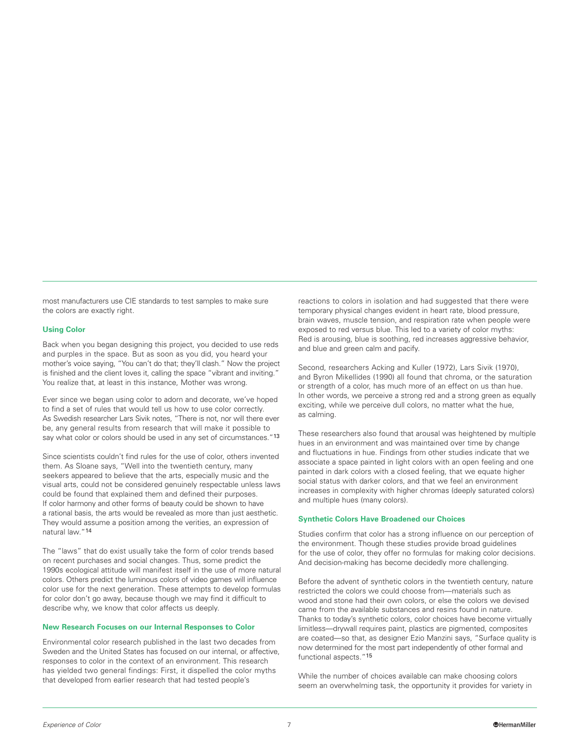most manufacturers use CIE standards to test samples to make sure the colors are exactly right.

# **Using Color**

Back when you began designing this project, you decided to use reds and purples in the space. But as soon as you did, you heard your mother's voice saying, "You can't do that; they'll clash." Now the project is finished and the client loves it, calling the space "vibrant and inviting." You realize that, at least in this instance, Mother was wrong.

Ever since we began using color to adorn and decorate, we've hoped to find a set of rules that would tell us how to use color correctly. As Swedish researcher Lars Sivik notes, "There is not, nor will there ever be, any general results from research that will make it possible to say what color or colors should be used in any set of circumstances."13

Since scientists couldn't find rules for the use of color, others invented them. As Sloane says, "Well into the twentieth century, many seekers appeared to believe that the arts, especially music and the visual arts, could not be considered genuinely respectable unless laws could be found that explained them and defined their purposes. If color harmony and other forms of beauty could be shown to have a rational basis, the arts would be revealed as more than just aesthetic. They would assume a position among the verities, an expression of natural law."14

The "laws" that do exist usually take the form of color trends based on recent purchases and social changes. Thus, some predict the 1990s ecological attitude will manifest itself in the use of more natural colors. Others predict the luminous colors of video games will influence color use for the next generation. These attempts to develop formulas for color don't go away, because though we may find it difficult to describe why, we know that color affects us deeply.

#### **New Research Focuses on our Internal Responses to Color**

Environmental color research published in the last two decades from Sweden and the United States has focused on our internal, or affective, responses to color in the context of an environment. This research has yielded two general findings: First, it dispelled the color myths that developed from earlier research that had tested people's

reactions to colors in isolation and had suggested that there were temporary physical changes evident in heart rate, blood pressure, brain waves, muscle tension, and respiration rate when people were exposed to red versus blue. This led to a variety of color myths: Red is arousing, blue is soothing, red increases aggressive behavior, and blue and green calm and pacify.

Second, researchers Acking and Kuller (1972), Lars Sivik (1970), and Byron Mikellides (1990) all found that chroma, or the saturation or strength of a color, has much more of an effect on us than hue. In other words, we perceive a strong red and a strong green as equally exciting, while we perceive dull colors, no matter what the hue, as calming.

These researchers also found that arousal was heightened by multiple hues in an environment and was maintained over time by change and fluctuations in hue. Findings from other studies indicate that we associate a space painted in light colors with an open feeling and one painted in dark colors with a closed feeling, that we equate higher social status with darker colors, and that we feel an environment increases in complexity with higher chromas (deeply saturated colors) and multiple hues (many colors).

# **Synthetic Colors Have Broadened our Choices**

Studies confirm that color has a strong influence on our perception of the environment. Though these studies provide broad guidelines for the use of color, they offer no formulas for making color decisions. And decision-making has become decidedly more challenging.

Before the advent of synthetic colors in the twentieth century, nature restricted the colors we could choose from—materials such as wood and stone had their own colors, or else the colors we devised came from the available substances and resins found in nature. Thanks to today's synthetic colors, color choices have become virtually limitless—drywall requires paint, plastics are pigmented, composites are coated—so that, as designer Ezio Manzini says, "Surface quality is now determined for the most part independently of other formal and functional aspects."15

While the number of choices available can make choosing colors seem an overwhelming task, the opportunity it provides for variety in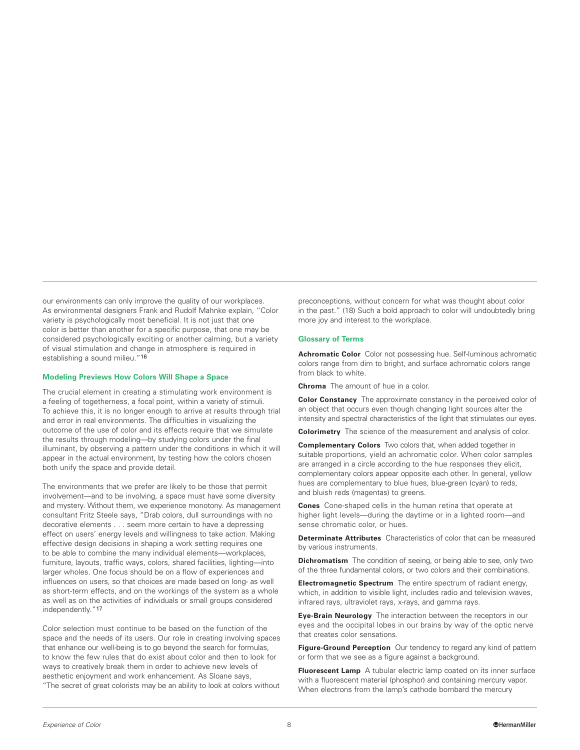our environments can only improve the quality of our workplaces. As environmental designers Frank and Rudolf Mahnke explain, "Color variety is psychologically most beneficial. It is not just that one color is better than another for a specific purpose, that one may be considered psychologically exciting or another calming, but a variety of visual stimulation and change in atmosphere is required in establishing a sound milieu."16

#### **Modeling Previews How Colors Will Shape a Space**

The crucial element in creating a stimulating work environment is a feeling of togetherness, a focal point, within a variety of stimuli. To achieve this, it is no longer enough to arrive at results through trial and error in real environments. The difficulties in visualizing the outcome of the use of color and its effects require that we simulate the results through modeling—by studying colors under the final illuminant, by observing a pattern under the conditions in which it will appear in the actual environment, by testing how the colors chosen both unify the space and provide detail.

The environments that we prefer are likely to be those that permit involvement—and to be involving, a space must have some diversity and mystery. Without them, we experience monotony. As management consultant Fritz Steele says, "Drab colors, dull surroundings with no decorative elements . . . seem more certain to have a depressing effect on users' energy levels and willingness to take action. Making effective design decisions in shaping a work setting requires one to be able to combine the many individual elements—workplaces, furniture, layouts, traffic ways, colors, shared facilities, lighting—into larger wholes. One focus should be on a flow of experiences and influences on users, so that choices are made based on long- as well as short-term effects, and on the workings of the system as a whole as well as on the activities of individuals or small groups considered independently."17

Color selection must continue to be based on the function of the space and the needs of its users. Our role in creating involving spaces that enhance our well-being is to go beyond the search for formulas, to know the few rules that do exist about color and then to look for ways to creatively break them in order to achieve new levels of aesthetic enjoyment and work enhancement. As Sloane says, "The secret of great colorists may be an ability to look at colors without

preconceptions, without concern for what was thought about color in the past." (18) Such a bold approach to color will undoubtedly bring more joy and interest to the workplace.

#### **Glossary of Terms**

**Achromatic Color** Color not possessing hue. Self-luminous achromatic colors range from dim to bright, and surface achromatic colors range from black to white.

**Chroma** The amount of hue in a color.

**Color Constancy** The approximate constancy in the perceived color of an object that occurs even though changing light sources alter the intensity and spectral characteristics of the light that stimulates our eyes.

**Colorimetry** The science of the measurement and analysis of color.

**Complementary Colors** Two colors that, when added together in suitable proportions, yield an achromatic color. When color samples are arranged in a circle according to the hue responses they elicit, complementary colors appear opposite each other. In general, yellow hues are complementary to blue hues, blue-green (cyan) to reds, and bluish reds (magentas) to greens.

**Cones** Cone-shaped cells in the human retina that operate at higher light levels—during the daytime or in a lighted room—and sense chromatic color, or hues.

**Determinate Attributes** Characteristics of color that can be measured by various instruments.

**Dichromatism** The condition of seeing, or being able to see, only two of the three fundamental colors, or two colors and their combinations.

**Electromagnetic Spectrum** The entire spectrum of radiant energy, which, in addition to visible light, includes radio and television waves, infrared rays, ultraviolet rays, x-rays, and gamma rays.

**Eye-Brain Neurology** The interaction between the receptors in our eyes and the occipital lobes in our brains by way of the optic nerve that creates color sensations.

**Figure-Ground Perception** Our tendency to regard any kind of pattern or form that we see as a figure against a background.

**Fluorescent Lamp** A tubular electric lamp coated on its inner surface with a fluorescent material (phosphor) and containing mercury vapor. When electrons from the lamp's cathode bombard the mercury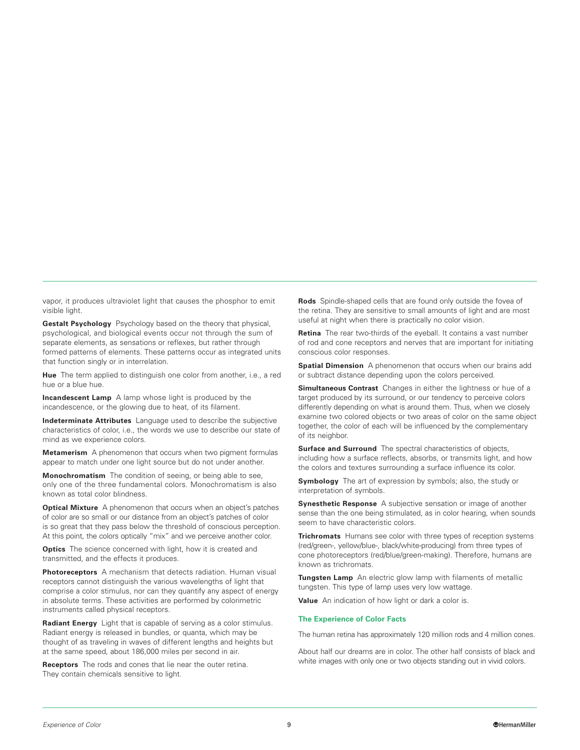vapor, it produces ultraviolet light that causes the phosphor to emit visible light.

**Gestalt Psychology** Psychology based on the theory that physical, psychological, and biological events occur not through the sum of separate elements, as sensations or reflexes, but rather through formed patterns of elements. These patterns occur as integrated units that function singly or in interrelation.

**Hue** The term applied to distinguish one color from another, i.e., a red hue or a blue hue.

**Incandescent Lamp** A lamp whose light is produced by the incandescence, or the glowing due to heat, of its filament.

**Indeterminate Attributes** Language used to describe the subjective characteristics of color, i.e., the words we use to describe our state of mind as we experience colors.

**Metamerism** A phenomenon that occurs when two pigment formulas appear to match under one light source but do not under another.

**Monochromatism** The condition of seeing, or being able to see, only one of the three fundamental colors. Monochromatism is also known as total color blindness.

**Optical Mixture** A phenomenon that occurs when an object's patches of color are so small or our distance from an object's patches of color is so great that they pass below the threshold of conscious perception. At this point, the colors optically "mix" and we perceive another color.

**Optics** The science concerned with light, how it is created and transmitted, and the effects it produces.

**Photoreceptors** A mechanism that detects radiation. Human visual receptors cannot distinguish the various wavelengths of light that comprise a color stimulus, nor can they quantify any aspect of energy in absolute terms. These activities are performed by colorimetric instruments called physical receptors.

**Radiant Energy** Light that is capable of serving as a color stimulus. Radiant energy is released in bundles, or quanta, which may be thought of as traveling in waves of different lengths and heights but at the same speed, about 186,000 miles per second in air.

**Receptors** The rods and cones that lie near the outer retina. They contain chemicals sensitive to light.

**Rods** Spindle-shaped cells that are found only outside the fovea of the retina. They are sensitive to small amounts of light and are most useful at night when there is practically no color vision.

**Retina** The rear two-thirds of the eyeball. It contains a vast number of rod and cone receptors and nerves that are important for initiating conscious color responses.

**Spatial Dimension** A phenomenon that occurs when our brains add or subtract distance depending upon the colors perceived.

**Simultaneous Contrast** Changes in either the lightness or hue of a target produced by its surround, or our tendency to perceive colors differently depending on what is around them. Thus, when we closely examine two colored objects or two areas of color on the same object together, the color of each will be influenced by the complementary of its neighbor.

**Surface and Surround** The spectral characteristics of objects, including how a surface reflects, absorbs, or transmits light, and how the colors and textures surrounding a surface influence its color.

**Symbology** The art of expression by symbols; also, the study or interpretation of symbols.

**Synesthetic Response** A subjective sensation or image of another sense than the one being stimulated, as in color hearing, when sounds seem to have characteristic colors.

**Trichromats** Humans see color with three types of reception systems (red/green-, yellow/blue-, black/white-producing) from three types of cone photoreceptors (red/blue/green-making). Therefore, humans are known as trichromats.

**Tungsten Lamp** An electric glow lamp with filaments of metallic tungsten. This type of lamp uses very low wattage.

**Value** An indication of how light or dark a color is.

#### **The Experience of Color Facts**

The human retina has approximately 120 million rods and 4 million cones.

About half our dreams are in color. The other half consists of black and white images with only one or two objects standing out in vivid colors.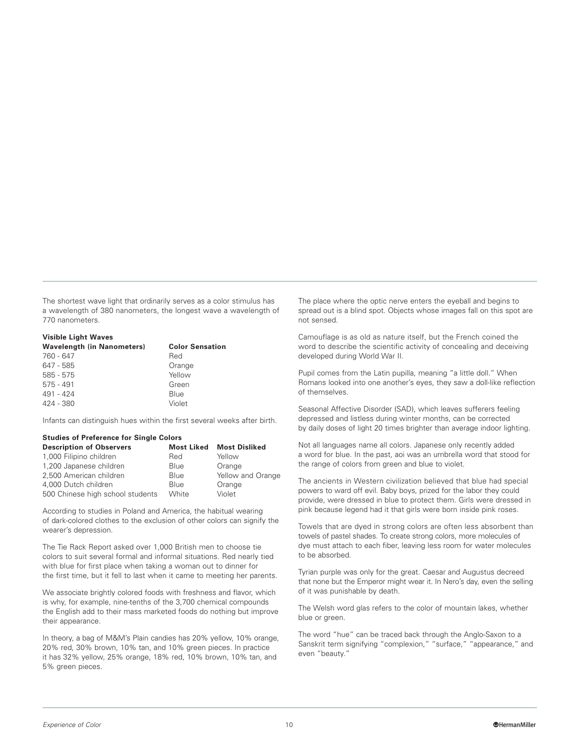The shortest wave light that ordinarily serves as a color stimulus has a wavelength of 380 nanometers, the longest wave a wavelength of 770 nanometers.

## **Visible Light Waves**

| Wavelength (in Nanometers) | <b>Color Sensation</b> |
|----------------------------|------------------------|
| 760 - 647                  | Red                    |
| 647 - 585                  | Orange                 |
| $585 - 575$                | Yellow                 |
| $575 - 491$                | Green                  |
| 491 - 424                  | Blue                   |
| 424 - 380                  | Violet                 |
|                            |                        |

Infants can distinguish hues within the first several weeks after birth.

# **Studies of Preference for Single Colors**

| <b>Description of Observers</b>  | <b>Most Liked</b> | <b>Most Disliked</b> |
|----------------------------------|-------------------|----------------------|
| 1,000 Filipino children          | Red               | Yellow               |
| 1,200 Japanese children          | Blue              | Orange               |
| 2,500 American children          | Blue              | Yellow and Orange    |
| 4.000 Dutch children             | Blue              | Orange               |
| 500 Chinese high school students | White             | Violet               |

According to studies in Poland and America, the habitual wearing of dark-colored clothes to the exclusion of other colors can signify the wearer's depression.

The Tie Rack Report asked over 1,000 British men to choose tie colors to suit several formal and informal situations. Red nearly tied with blue for first place when taking a woman out to dinner for the first time, but it fell to last when it came to meeting her parents.

We associate brightly colored foods with freshness and flavor, which is why, for example, nine-tenths of the 3,700 chemical compounds the English add to their mass marketed foods do nothing but improve their appearance.

In theory, a bag of M&M's Plain candies has 20% yellow, 10% orange, 20% red, 30% brown, 10% tan, and 10% green pieces. In practice it has 32% yellow, 25% orange, 18% red, 10% brown, 10% tan, and 5% green pieces.

The place where the optic nerve enters the eyeball and begins to spread out is a blind spot. Objects whose images fall on this spot are not sensed.

Camouflage is as old as nature itself, but the French coined the word to describe the scientific activity of concealing and deceiving developed during World War II.

Pupil comes from the Latin pupilla, meaning "a little doll." When Romans looked into one another's eyes, they saw a doll-like reflection of themselves.

Seasonal Affective Disorder (SAD), which leaves sufferers feeling depressed and listless during winter months, can be corrected by daily doses of light 20 times brighter than average indoor lighting.

Not all languages name all colors. Japanese only recently added a word for blue. In the past, aoi was an umbrella word that stood for the range of colors from green and blue to violet.

The ancients in Western civilization believed that blue had special powers to ward off evil. Baby boys, prized for the labor they could provide, were dressed in blue to protect them. Girls were dressed in pink because legend had it that girls were born inside pink roses.

Towels that are dyed in strong colors are often less absorbent than towels of pastel shades. To create strong colors, more molecules of dye must attach to each fiber, leaving less room for water molecules to be absorbed.

Tyrian purple was only for the great. Caesar and Augustus decreed that none but the Emperor might wear it. In Nero's day, even the selling of it was punishable by death.

The Welsh word glas refers to the color of mountain lakes, whether blue or green.

The word "hue" can be traced back through the Anglo-Saxon to a Sanskrit term signifying "complexion," "surface," "appearance," and even "beauty."